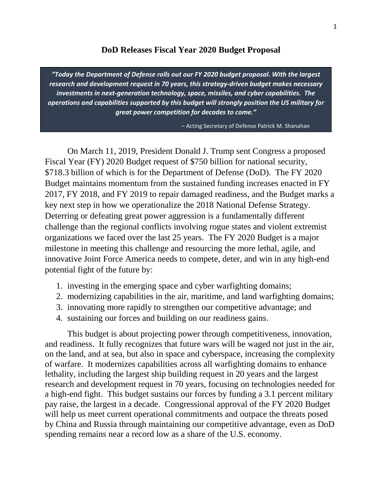#### **DoD Releases Fiscal Year 2020 Budget Proposal**

*"Today the Department of Defense rolls out our FY 2020 budget proposal. With the largest research and development request in 70 years, this strategy-driven budget makes necessary investments in next-generation technology, space, missiles, and cyber capabilities. The operations and capabilities supported by this budget will strongly position the US military for great power competition for decades to come."*

– Acting Secretary of Defense Patrick M. Shanahan

On March 11, 2019, President Donald J. Trump sent Congress a proposed Fiscal Year (FY) 2020 Budget request of \$750 billion for national security, \$718.3 billion of which is for the Department of Defense (DoD). The FY 2020 Budget maintains momentum from the sustained funding increases enacted in FY 2017, FY 2018, and FY 2019 to repair damaged readiness, and the Budget marks a key next step in how we operationalize the 2018 National Defense Strategy. Deterring or defeating great power aggression is a fundamentally different challenge than the regional conflicts involving rogue states and violent extremist organizations we faced over the last 25 years. The FY 2020 Budget is a major milestone in meeting this challenge and resourcing the more lethal, agile, and innovative Joint Force America needs to compete, deter, and win in any high-end potential fight of the future by:

- 1. investing in the emerging space and cyber warfighting domains;
- 2. modernizing capabilities in the air, maritime, and land warfighting domains;
- 3. innovating more rapidly to strengthen our competitive advantage; and
- 4. sustaining our forces and building on our readiness gains.

This budget is about projecting power through competitiveness, innovation, and readiness. It fully recognizes that future wars will be waged not just in the air, on the land, and at sea, but also in space and cyberspace, increasing the complexity of warfare. It modernizes capabilities across all warfighting domains to enhance lethality, including the largest ship building request in 20 years and the largest research and development request in 70 years, focusing on technologies needed for a high-end fight. This budget sustains our forces by funding a 3.1 percent military pay raise, the largest in a decade. Congressional approval of the FY 2020 Budget will help us meet current operational commitments and outpace the threats posed by China and Russia through maintaining our competitive advantage, even as DoD spending remains near a record low as a share of the U.S. economy.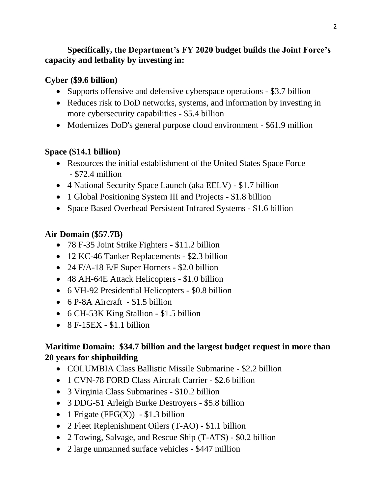### **Specifically, the Department's FY 2020 budget builds the Joint Force's capacity and lethality by investing in:**

#### **Cyber (\$9.6 billion)**

- Supports offensive and defensive cyberspace operations \$3.7 billion
- Reduces risk to DoD networks, systems, and information by investing in more cybersecurity capabilities - \$5.4 billion
- Modernizes DoD's general purpose cloud environment \$61.9 million

### **Space (\$14.1 billion)**

- Resources the initial establishment of the United States Space Force - \$72.4 million
- 4 National Security Space Launch (aka EELV) \$1.7 billion
- 1 Global Positioning System III and Projects \$1.8 billion
- Space Based Overhead Persistent Infrared Systems \$1.6 billion

### **Air Domain (\$57.7B)**

- 78 F-35 Joint Strike Fighters \$11.2 billion
- 12 KC-46 Tanker Replacements \$2.3 billion
- 24 F/A-18 E/F Super Hornets \$2.0 billion
- 48 AH-64E Attack Helicopters \$1.0 billion
- 6 VH-92 Presidential Helicopters \$0.8 billion
- $\bullet$  6 P-8A Aircraft \$1.5 billion
- 6 CH-53K King Stallion \$1.5 billion
- $\bullet$  8 F-15EX \$1.1 billion

# **Maritime Domain: \$34.7 billion and the largest budget request in more than 20 years for shipbuilding**

- COLUMBIA Class Ballistic Missile Submarine \$2.2 billion
- 1 CVN-78 FORD Class Aircraft Carrier \$2.6 billion
- 3 Virginia Class Submarines \$10.2 billion
- 3 DDG-51 Arleigh Burke Destroyers \$5.8 billion
- 1 Frigate (FFG(X))  $$1.3$  billion
- 2 Fleet Replenishment Oilers (T-AO) \$1.1 billion
- 2 Towing, Salvage, and Rescue Ship (T-ATS) \$0.2 billion
- 2 large unmanned surface vehicles \$447 million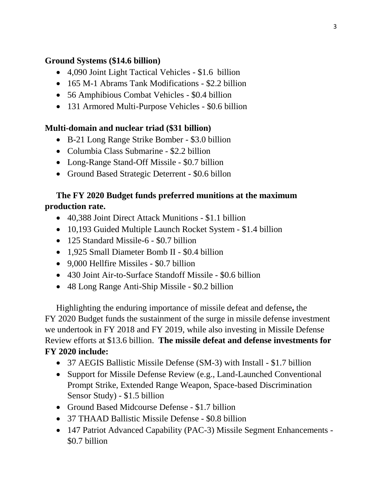#### **Ground Systems (\$14.6 billion)**

- 4,090 Joint Light Tactical Vehicles \$1.6 billion
- 165 M-1 Abrams Tank Modifications \$2.2 billion
- 56 Amphibious Combat Vehicles \$0.4 billion
- 131 Armored Multi-Purpose Vehicles \$0.6 billion

### **Multi-domain and nuclear triad (\$31 billion)**

- B-21 Long Range Strike Bomber \$3.0 billion
- Columbia Class Submarine \$2.2 billion
- Long-Range Stand-Off Missile \$0.7 billion
- Ground Based Strategic Deterrent \$0.6 billon

## **The FY 2020 Budget funds preferred munitions at the maximum production rate.**

- 40,388 Joint Direct Attack Munitions \$1.1 billion
- 10,193 Guided Multiple Launch Rocket System \$1.4 billion
- 125 Standard Missile-6 \$0.7 billion
- 1,925 Small Diameter Bomb II \$0.4 billion
- 9,000 Hellfire Missiles \$0.7 billion
- 430 Joint Air-to-Surface Standoff Missile \$0.6 billion
- 48 Long Range Anti-Ship Missile \$0.2 billion

Highlighting the enduring importance of missile defeat and defense**,** the FY 2020 Budget funds the sustainment of the surge in missile defense investment we undertook in FY 2018 and FY 2019, while also investing in Missile Defense Review efforts at \$13.6 billion. **The missile defeat and defense investments for FY 2020 include:**

- 37 AEGIS Ballistic Missile Defense (SM-3) with Install \$1.7 billion
- Support for Missile Defense Review (e.g., Land-Launched Conventional Prompt Strike, Extended Range Weapon, Space-based Discrimination Sensor Study) - \$1.5 billion
- Ground Based Midcourse Defense \$1.7 billion
- 37 THAAD Ballistic Missile Defense \$0.8 billion
- 147 Patriot Advanced Capability (PAC-3) Missile Segment Enhancements \$0.7 billion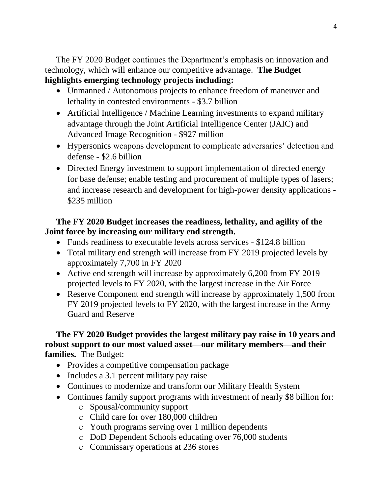The FY 2020 Budget continues the Department's emphasis on innovation and technology, which will enhance our competitive advantage. **The Budget highlights emerging technology projects including:**

- Unmanned / Autonomous projects to enhance freedom of maneuver and lethality in contested environments - \$3.7 billion
- Artificial Intelligence / Machine Learning investments to expand military advantage through the Joint Artificial Intelligence Center (JAIC) and Advanced Image Recognition - \$927 million
- Hypersonics weapons development to complicate adversaries' detection and defense - \$2.6 billion
- Directed Energy investment to support implementation of directed energy for base defense; enable testing and procurement of multiple types of lasers; and increase research and development for high-power density applications - \$235 million

#### **The FY 2020 Budget increases the readiness, lethality, and agility of the Joint force by increasing our military end strength.**

- Funds readiness to executable levels across services \$124.8 billion
- Total military end strength will increase from FY 2019 projected levels by approximately 7,700 in FY 2020
- Active end strength will increase by approximately 6,200 from FY 2019 projected levels to FY 2020, with the largest increase in the Air Force
- Reserve Component end strength will increase by approximately 1,500 from FY 2019 projected levels to FY 2020, with the largest increase in the Army Guard and Reserve

#### **The FY 2020 Budget provides the largest military pay raise in 10 years and robust support to our most valued asset—our military members—and their families.** The Budget:

- Provides a competitive compensation package
- Includes a 3.1 percent military pay raise
- Continues to modernize and transform our Military Health System
- Continues family support programs with investment of nearly \$8 billion for:
	- o Spousal/community support
	- o Child care for over 180,000 children
	- o Youth programs serving over 1 million dependents
	- o DoD Dependent Schools educating over 76,000 students
	- o Commissary operations at 236 stores